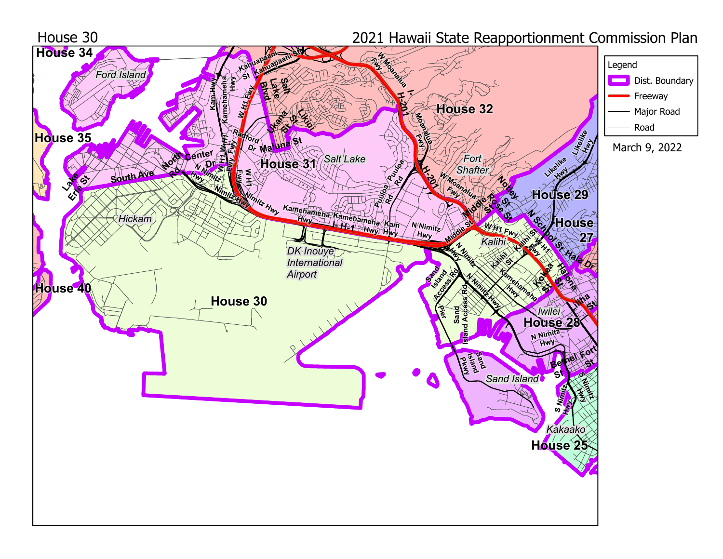